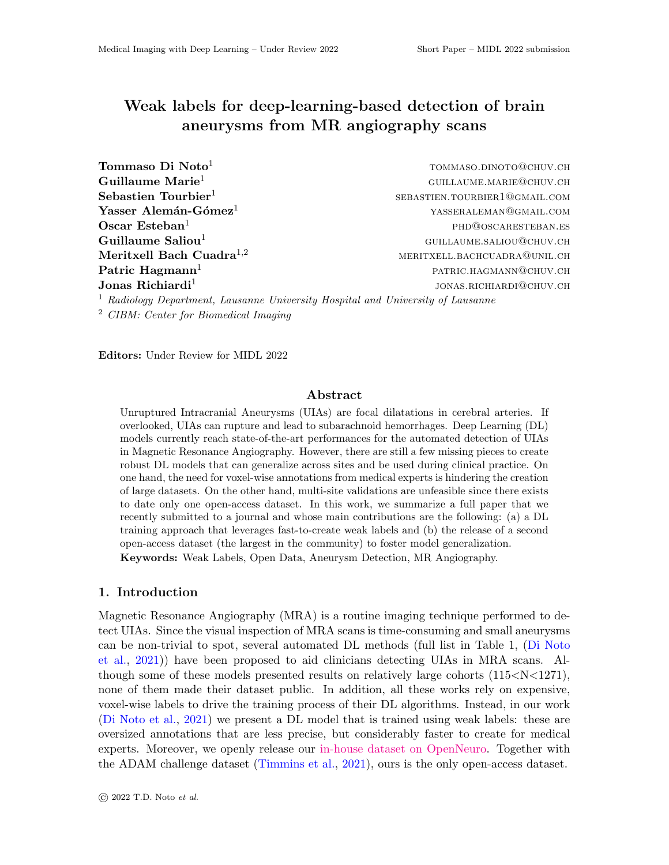# Weak labels for deep-learning-based detection of brain aneurysms from MR angiography scans

| Tommaso Di Noto <sup>1</sup>                                                               | TOMMASO.DINOTO@CHUV.CH        |  |  |  |  |  |  |
|--------------------------------------------------------------------------------------------|-------------------------------|--|--|--|--|--|--|
| Guillaume Marie <sup>1</sup>                                                               | GUILLAUME.MARIE@CHUV.CH       |  |  |  |  |  |  |
| Sebastien Tourbier <sup>1</sup>                                                            | SEBASTIEN.TOURBIER1@GMAIL.COM |  |  |  |  |  |  |
| Yasser Alemán-Gómez <sup>1</sup>                                                           | YASSERALEMAN@GMAIL.COM        |  |  |  |  |  |  |
| Oscar Esteban $1$                                                                          | PHD@OSCARESTEBAN.ES           |  |  |  |  |  |  |
| Guillaume Saliou <sup>1</sup>                                                              | GUILLAUME.SALIOU@CHUV.CH      |  |  |  |  |  |  |
| Meritxell Bach Cuadra <sup>1,2</sup>                                                       | MERITXELL.BACHCUADRA@UNIL.CH  |  |  |  |  |  |  |
| Patric $\text{Hagmann}^1$                                                                  | PATRIC.HAGMANN@CHUV.CH        |  |  |  |  |  |  |
| Jonas Richiardi <sup>1</sup>                                                               | JONAS.RICHIARDI@CHUV.CH       |  |  |  |  |  |  |
| <sup>1</sup> Radiology Department, Lausanne University Hospital and University of Lausanne |                               |  |  |  |  |  |  |
| <sup>2</sup> CIBM: Center for Biomedical Imaging                                           |                               |  |  |  |  |  |  |

Editors: Under Review for MIDL 2022

## Abstract

Unruptured Intracranial Aneurysms (UIAs) are focal dilatations in cerebral arteries. If overlooked, UIAs can rupture and lead to subarachnoid hemorrhages. Deep Learning (DL) models currently reach state-of-the-art performances for the automated detection of UIAs in Magnetic Resonance Angiography. However, there are still a few missing pieces to create robust DL models that can generalize across sites and be used during clinical practice. On one hand, the need for voxel-wise annotations from medical experts is hindering the creation of large datasets. On the other hand, multi-site validations are unfeasible since there exists to date only one open-access dataset. In this work, we summarize a full paper that we recently submitted to a journal and whose main contributions are the following: (a) a DL training approach that leverages fast-to-create weak labels and (b) the release of a second open-access dataset (the largest in the community) to foster model generalization. Keywords: Weak Labels, Open Data, Aneurysm Detection, MR Angiography.

## 1. Introduction

Magnetic Resonance Angiography (MRA) is a routine imaging technique performed to detect UIAs. Since the visual inspection of MRA scans is time-consuming and small aneurysms can be non-trivial to spot, several automated DL methods (full list in Table 1, [\(Di Noto](#page-2-0) [et al.,](#page-2-0) [2021\)](#page-2-0)) have been proposed to aid clinicians detecting UIAs in MRA scans. Although some of these models presented results on relatively large cohorts  $(115< N< 1271)$ , none of them made their dataset public. In addition, all these works rely on expensive, voxel-wise labels to drive the training process of their DL algorithms. Instead, in our work [\(Di Noto et al.,](#page-2-0) [2021\)](#page-2-0) we present a DL model that is trained using weak labels: these are oversized annotations that are less precise, but considerably faster to create for medical experts. Moreover, we openly release our [in-house dataset on OpenNeuro.](https://openneuro.org/datasets/ds003949) Together with the ADAM challenge dataset [\(Timmins et al.,](#page-2-1) [2021\)](#page-2-1), ours is the only open-access dataset.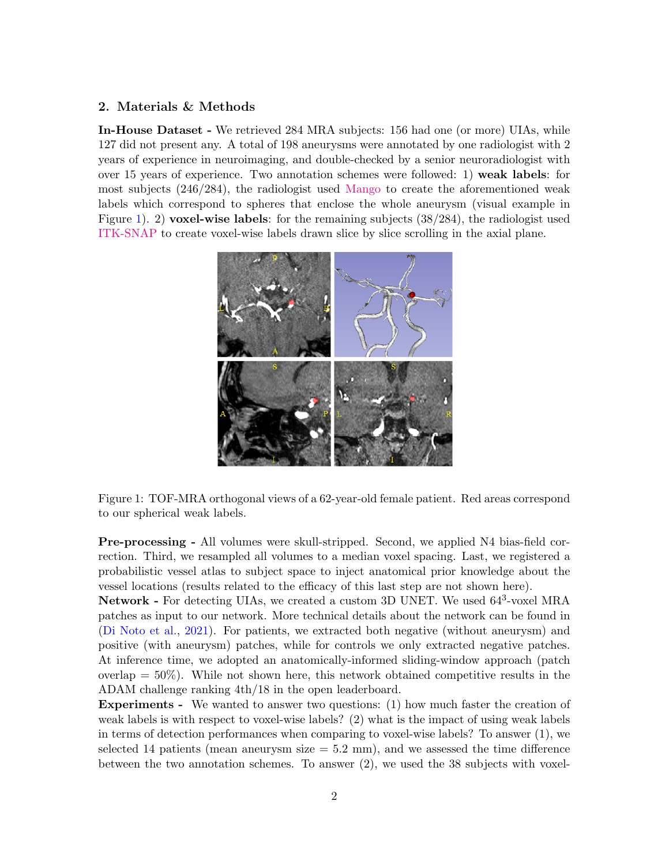# 2. Materials & Methods

In-House Dataset - We retrieved 284 MRA subjects: 156 had one (or more) UIAs, while 127 did not present any. A total of 198 aneurysms were annotated by one radiologist with 2 years of experience in neuroimaging, and double-checked by a senior neuroradiologist with over 15 years of experience. Two annotation schemes were followed: 1) weak labels: for most subjects (246/284), the radiologist used [Mango](https://ric.uthscsa.edu/mango/) to create the aforementioned weak labels which correspond to spheres that enclose the whole aneurysm (visual example in Figure [1\)](#page-1-0). 2) voxel-wise labels: for the remaining subjects (38/284), the radiologist used [ITK-SNAP](http://www.itksnap.org/pmwiki/pmwiki.php) to create voxel-wise labels drawn slice by slice scrolling in the axial plane.

<span id="page-1-0"></span>

Figure 1: TOF-MRA orthogonal views of a 62-year-old female patient. Red areas correspond to our spherical weak labels.

Pre-processing - All volumes were skull-stripped. Second, we applied N4 bias-field correction. Third, we resampled all volumes to a median voxel spacing. Last, we registered a probabilistic vessel atlas to subject space to inject anatomical prior knowledge about the vessel locations (results related to the efficacy of this last step are not shown here).

Network - For detecting UIAs, we created a custom 3D UNET. We used  $64^3$ -voxel MRA patches as input to our network. More technical details about the network can be found in [\(Di Noto et al.,](#page-2-0) [2021\)](#page-2-0). For patients, we extracted both negative (without aneurysm) and positive (with aneurysm) patches, while for controls we only extracted negative patches. At inference time, we adopted an anatomically-informed sliding-window approach (patch overlap  $= 50\%$ ). While not shown here, this network obtained competitive results in the ADAM challenge ranking 4th/18 in the open leaderboard.

Experiments - We wanted to answer two questions: (1) how much faster the creation of weak labels is with respect to voxel-wise labels? (2) what is the impact of using weak labels in terms of detection performances when comparing to voxel-wise labels? To answer (1), we selected 14 patients (mean aneurysm size  $= 5.2$  mm), and we assessed the time difference between the two annotation schemes. To answer (2), we used the 38 subjects with voxel